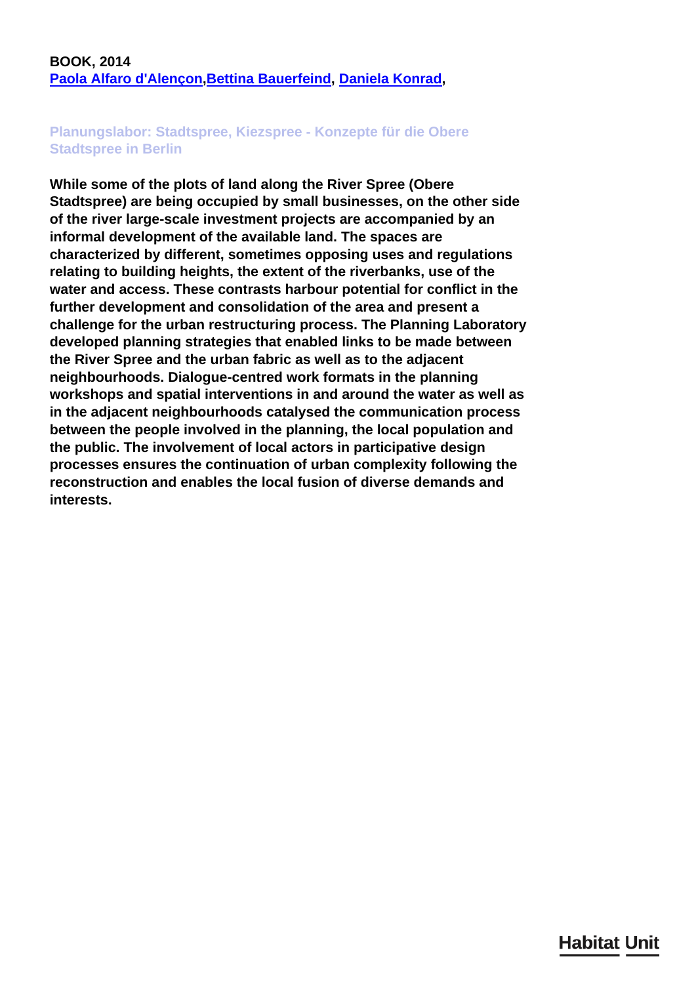## **BOOK, 2014 [Paola Alfaro d'Alençon](/en/team/paola-alfaro-dalenon/),[Bettina Bauerfeind](/en/team/bettina-bauerfeind/), [Daniela Konrad](/en/team/daniela-konrad/),**

## **Planungslabor: Stadtspree, Kiezspree - Konzepte für die Obere Stadtspree in Berlin**

**While some of the plots of land along the River Spree (Obere Stadtspree) are being occupied by small businesses, on the other side of the river large-scale investment projects are accompanied by an informal development of the available land. The spaces are characterized by different, sometimes opposing uses and regulations relating to building heights, the extent of the riverbanks, use of the water and access. These contrasts harbour potential for conflict in the further development and consolidation of the area and present a challenge for the urban restructuring process. The Planning Laboratory developed planning strategies that enabled links to be made between the River Spree and the urban fabric as well as to the adjacent neighbourhoods. Dialogue-centred work formats in the planning workshops and spatial interventions in and around the water as well as in the adjacent neighbourhoods catalysed the communication process between the people involved in the planning, the local population and the public. The involvement of local actors in participative design processes ensures the continuation of urban complexity following the reconstruction and enables the local fusion of diverse demands and interests.**